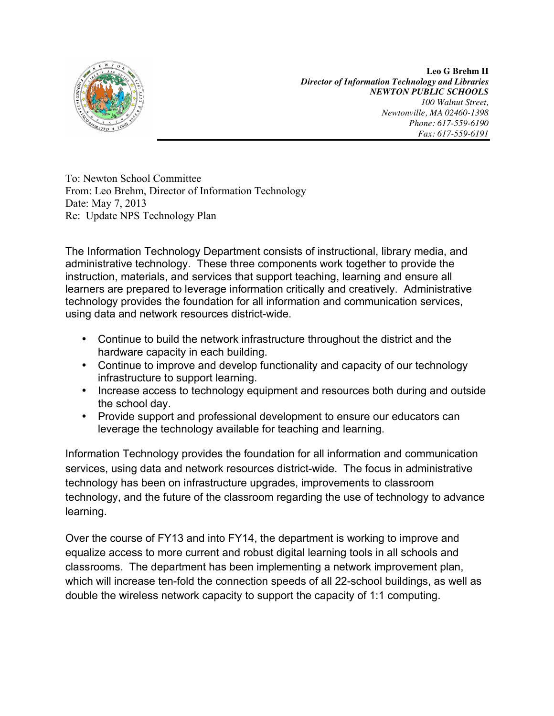

**Leo G Brehm II** *Director of Information Technology and Libraries NEWTON PUBLIC SCHOOLS 100 Walnut Street, Newtonville, MA 02460-1398 Phone: 617-559-6190 Fax: 617-559-6191*

To: Newton School Committee From: Leo Brehm, Director of Information Technology Date: May 7, 2013 Re: Update NPS Technology Plan

The Information Technology Department consists of instructional, library media, and administrative technology. These three components work together to provide the instruction, materials, and services that support teaching, learning and ensure all learners are prepared to leverage information critically and creatively. Administrative technology provides the foundation for all information and communication services, using data and network resources district-wide.

- Continue to build the network infrastructure throughout the district and the hardware capacity in each building.
- Continue to improve and develop functionality and capacity of our technology infrastructure to support learning.
- Increase access to technology equipment and resources both during and outside the school day.
- Provide support and professional development to ensure our educators can leverage the technology available for teaching and learning.

Information Technology provides the foundation for all information and communication services, using data and network resources district-wide. The focus in administrative technology has been on infrastructure upgrades, improvements to classroom technology, and the future of the classroom regarding the use of technology to advance learning.

Over the course of FY13 and into FY14, the department is working to improve and equalize access to more current and robust digital learning tools in all schools and classrooms. The department has been implementing a network improvement plan, which will increase ten-fold the connection speeds of all 22-school buildings, as well as double the wireless network capacity to support the capacity of 1:1 computing.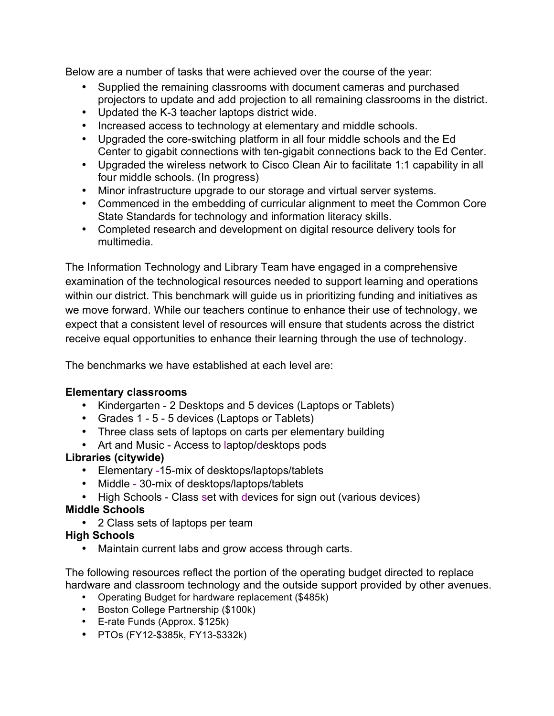Below are a number of tasks that were achieved over the course of the year:

- Supplied the remaining classrooms with document cameras and purchased projectors to update and add projection to all remaining classrooms in the district.
- Updated the K-3 teacher laptops district wide.
- Increased access to technology at elementary and middle schools.
- Upgraded the core-switching platform in all four middle schools and the Ed Center to gigabit connections with ten-gigabit connections back to the Ed Center.
- Upgraded the wireless network to Cisco Clean Air to facilitate 1:1 capability in all four middle schools. (In progress)
- Minor infrastructure upgrade to our storage and virtual server systems.
- Commenced in the embedding of curricular alignment to meet the Common Core State Standards for technology and information literacy skills.
- Completed research and development on digital resource delivery tools for multimedia.

The Information Technology and Library Team have engaged in a comprehensive examination of the technological resources needed to support learning and operations within our district. This benchmark will guide us in prioritizing funding and initiatives as we move forward. While our teachers continue to enhance their use of technology, we expect that a consistent level of resources will ensure that students across the district receive equal opportunities to enhance their learning through the use of technology.

The benchmarks we have established at each level are:

## **Elementary classrooms**

- Kindergarten 2 Desktops and 5 devices (Laptops or Tablets)
- Grades 1 5 5 devices (Laptops or Tablets)
- Three class sets of laptops on carts per elementary building
- Art and Music Access to laptop/desktops pods

# **Libraries (citywide)**

- Elementary -15-mix of desktops/laptops/tablets
- Middle 30-mix of desktops/laptops/tablets
- High Schools Class set with devices for sign out (various devices)

# **Middle Schools**

• 2 Class sets of laptops per team

# **High Schools**

• Maintain current labs and grow access through carts.

The following resources reflect the portion of the operating budget directed to replace hardware and classroom technology and the outside support provided by other avenues.

- Operating Budget for hardware replacement (\$485k)
- Boston College Partnership (\$100k)
- E-rate Funds (Approx. \$125k)
- PTOs (FY12-\$385k, FY13-\$332k)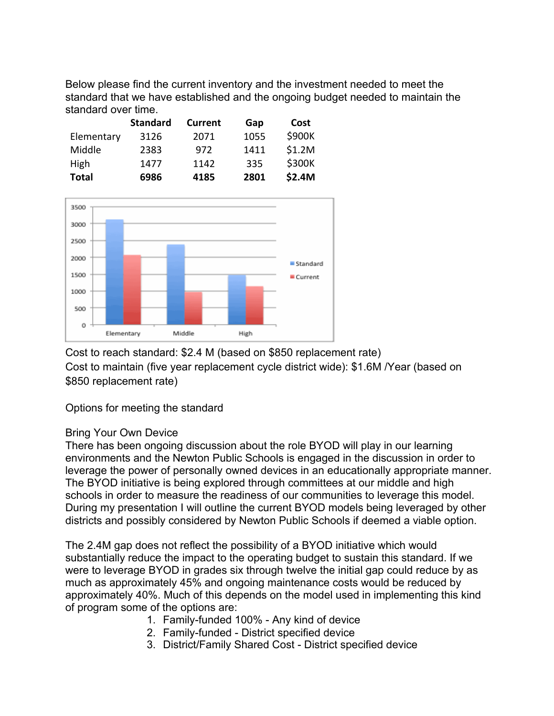Below please find the current inventory and the investment needed to meet the standard that we have established and the ongoing budget needed to maintain the standard over time.

|              | <b>Standard</b> | <b>Current</b> | Gap  | <b>Cost</b> |
|--------------|-----------------|----------------|------|-------------|
| Elementary   | 3126            | 2071           | 1055 | \$900K      |
| Middle       | 2383            | 972            | 1411 | \$1.2M      |
| <b>High</b>  | 1477            | 1142           | 335  | \$300K      |
| <b>Total</b> | 6986            | 4185           | 2801 | \$2.4M      |



Cost to reach standard: \$2.4 M (based on \$850 replacement rate) Cost to maintain (five year replacement cycle district wide): \$1.6M /Year (based on \$850 replacement rate)

Options for meeting the standard

## Bring Your Own Device

There has been ongoing discussion about the role BYOD will play in our learning environments and the Newton Public Schools is engaged in the discussion in order to leverage the power of personally owned devices in an educationally appropriate manner. The BYOD initiative is being explored through committees at our middle and high schools in order to measure the readiness of our communities to leverage this model. During my presentation I will outline the current BYOD models being leveraged by other districts and possibly considered by Newton Public Schools if deemed a viable option.

The 2.4M gap does not reflect the possibility of a BYOD initiative which would substantially reduce the impact to the operating budget to sustain this standard. If we were to leverage BYOD in grades six through twelve the initial gap could reduce by as much as approximately 45% and ongoing maintenance costs would be reduced by approximately 40%. Much of this depends on the model used in implementing this kind of program some of the options are:

- 1. Family-funded 100% Any kind of device
- 2. Family-funded District specified device
- 3. District/Family Shared Cost District specified device